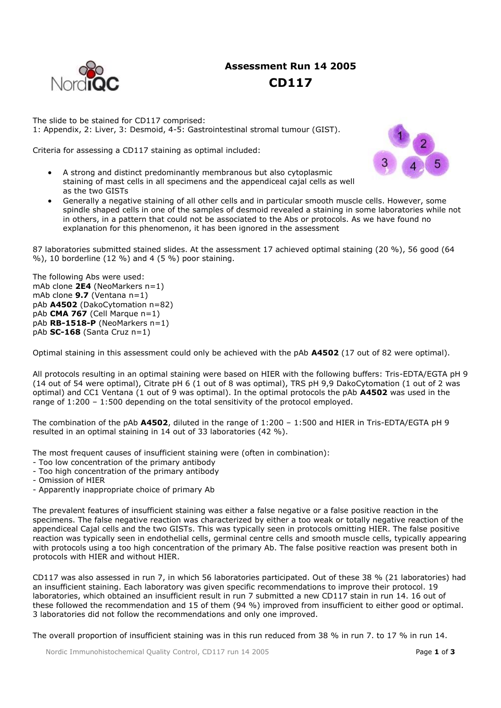

# **Assessment Run 14 2005 CD117**

The slide to be stained for CD117 comprised: 1: Appendix, 2: Liver, 3: Desmoid, 4-5: Gastrointestinal stromal tumour (GIST).

Criteria for assessing a CD117 staining as optimal included:



- A strong and distinct predominantly membranous but also cytoplasmic staining of mast cells in all specimens and the appendiceal cajal cells as well as the two GISTs
- Generally a negative staining of all other cells and in particular smooth muscle cells. However, some spindle shaped cells in one of the samples of desmoid revealed a staining in some laboratories while not in others, in a pattern that could not be associated to the Abs or protocols. As we have found no explanation for this phenomenon, it has been ignored in the assessment

87 laboratories submitted stained slides. At the assessment 17 achieved optimal staining (20 %), 56 good (64 %), 10 borderline (12 %) and 4 (5 %) poor staining.

The following Abs were used: mAb clone **2E4** (NeoMarkers n=1) mAb clone **9.7** (Ventana n=1) pAb **A4502** (DakoCytomation n=82) pAb **CMA 767** (Cell Marque n=1) pAb **RB-1518-P** (NeoMarkers n=1) pAb **SC-168** (Santa Cruz n=1)

Optimal staining in this assessment could only be achieved with the pAb **A4502** (17 out of 82 were optimal).

All protocols resulting in an optimal staining were based on HIER with the following buffers: Tris-EDTA/EGTA pH 9 (14 out of 54 were optimal), Citrate pH 6 (1 out of 8 was optimal), TRS pH 9,9 DakoCytomation (1 out of 2 was optimal) and CC1 Ventana (1 out of 9 was optimal). In the optimal protocols the pAb **A4502** was used in the range of 1:200 – 1:500 depending on the total sensitivity of the protocol employed.

The combination of the pAb **A4502**, diluted in the range of 1:200 – 1:500 and HIER in Tris-EDTA/EGTA pH 9 resulted in an optimal staining in 14 out of 33 laboratories (42 %).

The most frequent causes of insufficient staining were (often in combination):

- Too low concentration of the primary antibody
- Too high concentration of the primary antibody
- Omission of HIER
- Apparently inappropriate choice of primary Ab

The prevalent features of insufficient staining was either a false negative or a false positive reaction in the specimens. The false negative reaction was characterized by either a too weak or totally negative reaction of the appendiceal Cajal cells and the two GISTs. This was typically seen in protocols omitting HIER. The false positive reaction was typically seen in endothelial cells, germinal centre cells and smooth muscle cells, typically appearing with protocols using a too high concentration of the primary Ab. The false positive reaction was present both in protocols with HIER and without HIER.

CD117 was also assessed in run 7, in which 56 laboratories participated. Out of these 38 % (21 laboratories) had an insufficient staining. Each laboratory was given specific recommendations to improve their protocol. 19 laboratories, which obtained an insufficient result in run 7 submitted a new CD117 stain in run 14. 16 out of these followed the recommendation and 15 of them (94 %) improved from insufficient to either good or optimal. 3 laboratories did not follow the recommendations and only one improved.

The overall proportion of insufficient staining was in this run reduced from 38 % in run 7. to 17 % in run 14.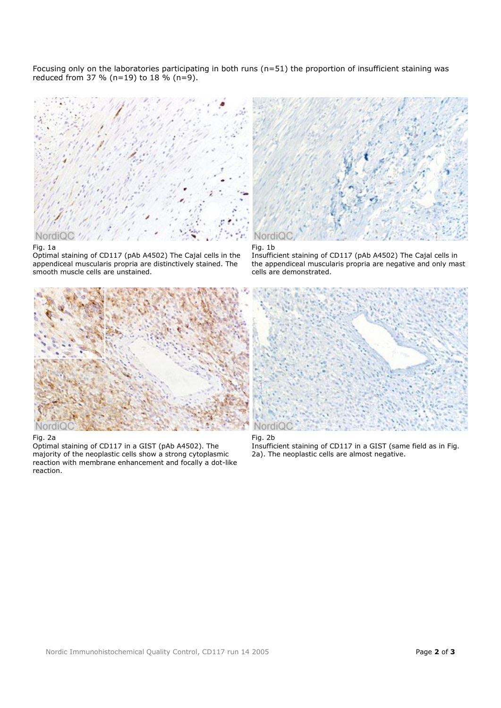Focusing only on the laboratories participating in both runs (n=51) the proportion of insufficient staining was reduced from 37 % (n=19) to 18 % (n=9).



## Fig. 1a

Optimal staining of CD117 (pAb A4502) The Cajal cells in the appendiceal muscularis propria are distinctively stained. The smooth muscle cells are unstained.

![](_page_1_Figure_4.jpeg)

# Fig. 2a

Optimal staining of CD117 in a GIST (pAb A4502). The majority of the neoplastic cells show a strong cytoplasmic reaction with membrane enhancement and focally a dot-like reaction.

![](_page_1_Picture_7.jpeg)

#### Fig. 1b

Insufficient staining of CD117 (pAb A4502) The Cajal cells in the appendiceal muscularis propria are negative and only mast cells are demonstrated.

![](_page_1_Picture_10.jpeg)

# Fig. 2b

Insufficient staining of CD117 in a GIST (same field as in Fig. 2a). The neoplastic cells are almost negative.